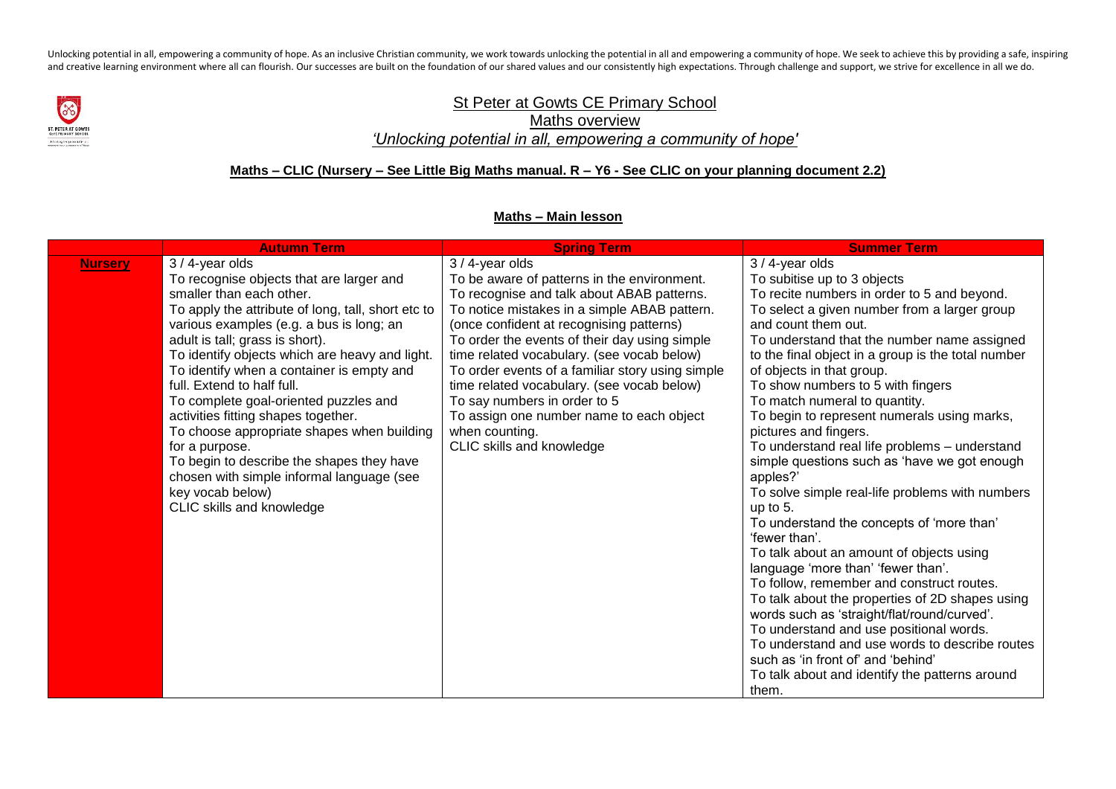Unlocking potential in all, empowering a community of hope. As an inclusive Christian community, we work towards unlocking the potential in all and empowering a community of hope. We seek to achieve this by providing a saf and creative learning environment where all can flourish. Our successes are built on the foundation of our shared values and our consistently high expectations. Through challenge and support, we strive for excellence in al



## St Peter at Gowts CE Primary School Maths overview *'Unlocking potential in all, empowering a community of hope'*

## **Maths – CLIC (Nursery – See Little Big Maths manual. R – Y6 - See CLIC on your planning document 2.2)**

## **Maths – Main lesson**

|                | <b>Autumn Term</b>                                                                                                                                                                                                                                                                                                                                                                                                                                                                                                                                                                                                                                   | <b>Spring Term</b>                                                                                                                                                                                                                                                                                                                                                                                                                                                                                                                    | <b>Summer Term</b>                                                                                                                                                                                                                                                                                                                                                                                                                                                                                                                                                                                                                                                                                                                                                                                                                                                                                                                                                                                                                                                                                                             |
|----------------|------------------------------------------------------------------------------------------------------------------------------------------------------------------------------------------------------------------------------------------------------------------------------------------------------------------------------------------------------------------------------------------------------------------------------------------------------------------------------------------------------------------------------------------------------------------------------------------------------------------------------------------------------|---------------------------------------------------------------------------------------------------------------------------------------------------------------------------------------------------------------------------------------------------------------------------------------------------------------------------------------------------------------------------------------------------------------------------------------------------------------------------------------------------------------------------------------|--------------------------------------------------------------------------------------------------------------------------------------------------------------------------------------------------------------------------------------------------------------------------------------------------------------------------------------------------------------------------------------------------------------------------------------------------------------------------------------------------------------------------------------------------------------------------------------------------------------------------------------------------------------------------------------------------------------------------------------------------------------------------------------------------------------------------------------------------------------------------------------------------------------------------------------------------------------------------------------------------------------------------------------------------------------------------------------------------------------------------------|
| <b>Nursery</b> | 3 / 4-year olds<br>To recognise objects that are larger and<br>smaller than each other.<br>To apply the attribute of long, tall, short etc to<br>various examples (e.g. a bus is long; an<br>adult is tall; grass is short).<br>To identify objects which are heavy and light.<br>To identify when a container is empty and<br>full. Extend to half full.<br>To complete goal-oriented puzzles and<br>activities fitting shapes together.<br>To choose appropriate shapes when building<br>for a purpose.<br>To begin to describe the shapes they have<br>chosen with simple informal language (see<br>key vocab below)<br>CLIC skills and knowledge | $3/4$ -year olds<br>To be aware of patterns in the environment.<br>To recognise and talk about ABAB patterns.<br>To notice mistakes in a simple ABAB pattern.<br>(once confident at recognising patterns)<br>To order the events of their day using simple<br>time related vocabulary. (see vocab below)<br>To order events of a familiar story using simple<br>time related vocabulary. (see vocab below)<br>To say numbers in order to 5<br>To assign one number name to each object<br>when counting.<br>CLIC skills and knowledge | $3/4$ -year olds<br>To subitise up to 3 objects<br>To recite numbers in order to 5 and beyond.<br>To select a given number from a larger group<br>and count them out.<br>To understand that the number name assigned<br>to the final object in a group is the total number<br>of objects in that group.<br>To show numbers to 5 with fingers<br>To match numeral to quantity.<br>To begin to represent numerals using marks,<br>pictures and fingers.<br>To understand real life problems - understand<br>simple questions such as 'have we got enough<br>apples?'<br>To solve simple real-life problems with numbers<br>up to 5.<br>To understand the concepts of 'more than'<br>'fewer than'.<br>To talk about an amount of objects using<br>language 'more than' 'fewer than'.<br>To follow, remember and construct routes.<br>To talk about the properties of 2D shapes using<br>words such as 'straight/flat/round/curved'.<br>To understand and use positional words.<br>To understand and use words to describe routes<br>such as 'in front of' and 'behind'<br>To talk about and identify the patterns around<br>them. |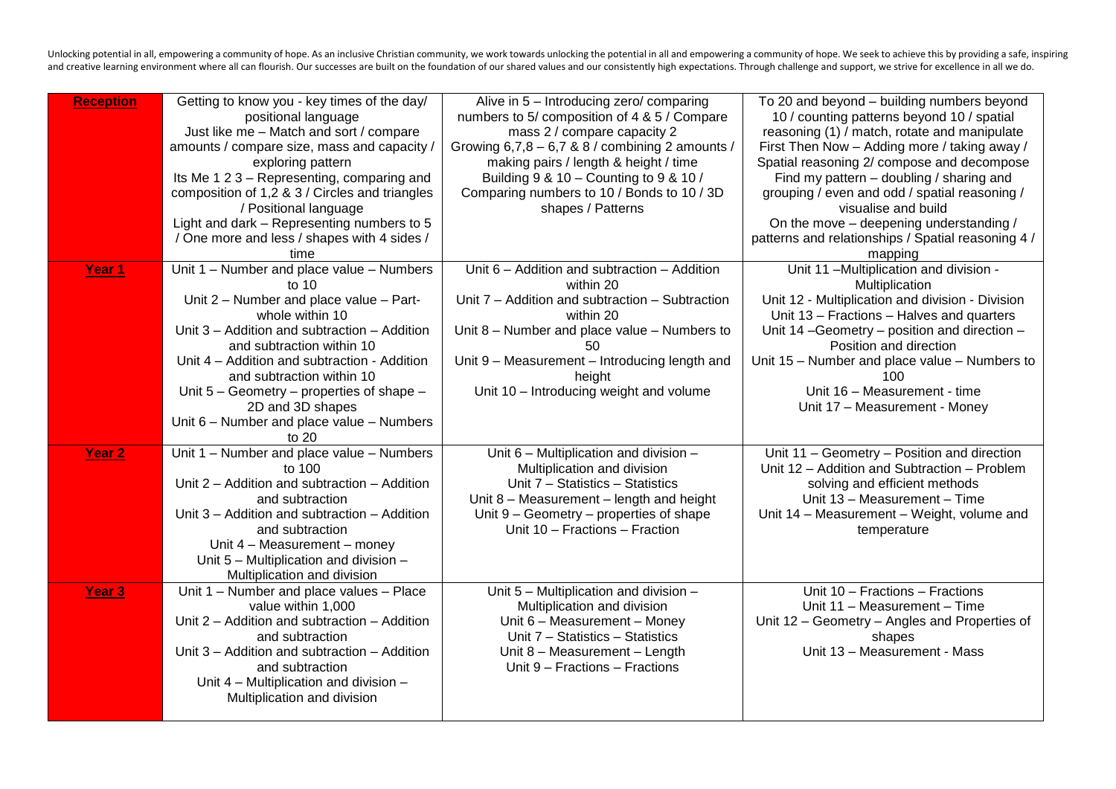Unlocking potential in all, empowering a community of hope. As an inclusive Christian community, we work towards unlocking the potential in all and empowering a community of hope. We seek to achieve this by providing a saf and creative learning environment where all can flourish. Our successes are built on the foundation of our shared values and our consistently high expectations. Through challenge and support, we strive for excellence in al

| <b>Reception</b>  | Getting to know you - key times of the day/    | Alive in 5 - Introducing zero/ comparing        | To 20 and beyond - building numbers beyond         |
|-------------------|------------------------------------------------|-------------------------------------------------|----------------------------------------------------|
|                   | positional language                            | numbers to 5/ composition of 4 & 5 / Compare    | 10 / counting patterns beyond 10 / spatial         |
|                   | Just like me - Match and sort / compare        | mass 2 / compare capacity 2                     | reasoning (1) / match, rotate and manipulate       |
|                   | amounts / compare size, mass and capacity /    | Growing $6,7,8-6,7$ & 8 / combining 2 amounts / | First Then Now - Adding more / taking away /       |
|                   | exploring pattern                              | making pairs / length & height / time           | Spatial reasoning 2/ compose and decompose         |
|                   | Its Me 1 2 3 - Representing, comparing and     | Building 9 & 10 - Counting to 9 & 10 /          | Find my pattern - doubling / sharing and           |
|                   | composition of 1,2 & 3 / Circles and triangles | Comparing numbers to 10 / Bonds to 10 / 3D      | grouping / even and odd / spatial reasoning /      |
|                   | / Positional language                          | shapes / Patterns                               | visualise and build                                |
|                   | Light and dark - Representing numbers to 5     |                                                 | On the move – deepening understanding /            |
|                   | / One more and less / shapes with 4 sides /    |                                                 | patterns and relationships / Spatial reasoning 4 / |
|                   | time                                           |                                                 | mapping                                            |
| Year 1            | Unit 1 - Number and place value - Numbers      | Unit $6$ – Addition and subtraction – Addition  | Unit 11 -Multiplication and division -             |
|                   | to $10$                                        | within 20                                       | Multiplication                                     |
|                   | Unit 2 - Number and place value - Part-        | Unit 7 - Addition and subtraction - Subtraction | Unit 12 - Multiplication and division - Division   |
|                   | whole within 10                                | within 20                                       | Unit 13 - Fractions - Halves and quarters          |
|                   | Unit 3 - Addition and subtraction - Addition   | Unit 8 - Number and place value - Numbers to    | Unit 14 -Geometry - position and direction -       |
|                   | and subtraction within 10                      | 50                                              | Position and direction                             |
|                   | Unit 4 - Addition and subtraction - Addition   | Unit 9 - Measurement - Introducing length and   | Unit 15 - Number and place value - Numbers to      |
|                   | and subtraction within 10                      | height                                          | 100                                                |
|                   | Unit 5 - Geometry - properties of shape -      | Unit 10 - Introducing weight and volume         | Unit 16 - Measurement - time                       |
|                   | 2D and 3D shapes                               |                                                 | Unit 17 - Measurement - Money                      |
|                   | Unit 6 - Number and place value - Numbers      |                                                 |                                                    |
|                   | to $20$                                        |                                                 |                                                    |
| Year <sub>2</sub> | Unit 1 - Number and place value - Numbers      | Unit 6 - Multiplication and division -          | Unit 11 - Geometry - Position and direction        |
|                   | to 100                                         | Multiplication and division                     | Unit 12 - Addition and Subtraction - Problem       |
|                   | Unit 2 - Addition and subtraction - Addition   | Unit 7 - Statistics - Statistics                | solving and efficient methods                      |
|                   | and subtraction                                | Unit 8 - Measurement - length and height        | Unit 13 - Measurement - Time                       |
|                   | Unit 3 – Addition and subtraction – Addition   | Unit 9 – Geometry – properties of shape         | Unit 14 - Measurement - Weight, volume and         |
|                   | and subtraction                                | Unit 10 - Fractions - Fraction                  | temperature                                        |
|                   | Unit 4 - Measurement - money                   |                                                 |                                                    |
|                   | Unit 5 - Multiplication and division -         |                                                 |                                                    |
|                   | Multiplication and division                    |                                                 |                                                    |
| Year <sub>3</sub> | Unit 1 - Number and place values - Place       | Unit 5 - Multiplication and division -          | Unit 10 - Fractions - Fractions                    |
|                   | value within 1,000                             | Multiplication and division                     | Unit 11 - Measurement - Time                       |
|                   | Unit 2 – Addition and subtraction – Addition   | Unit 6 - Measurement - Money                    | Unit 12 - Geometry - Angles and Properties of      |
|                   | and subtraction                                | Unit 7 - Statistics - Statistics                | shapes                                             |
|                   | Unit 3 – Addition and subtraction – Addition   | Unit 8 - Measurement - Length                   | Unit 13 - Measurement - Mass                       |
|                   | and subtraction                                | Unit 9 - Fractions - Fractions                  |                                                    |
|                   | Unit 4 - Multiplication and division -         |                                                 |                                                    |
|                   | Multiplication and division                    |                                                 |                                                    |
|                   |                                                |                                                 |                                                    |